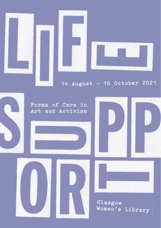

# 14 August - 16 October 2021

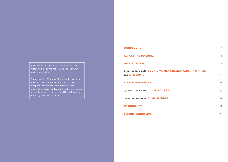*How have individuals and collectives imagined alternative ways of living and organising?*

**Inspired by Glasgow Women's Library's communities and collections, Life Support considers how artists and activists have addressed and challenged experiences of care, health, education, housing and home life.**

| <b>INTRODUCTION</b>                                     | 4  |
|---------------------------------------------------------|----|
| <b>ACROSS THE BUILDING</b>                              | 8  |
| <b>GROUND FLOOR</b>                                     | 10 |
| Conversation with UBUNTU WOMEN SHELTER, ALBERTA WHITTLE |    |
| and LIFE SUPPORT                                        | 17 |
| <b>FIRST FLOOR GALLERY</b>                              | 24 |
| If You Lived Here VIDEO LOUNGE                          | 27 |
| Conversation with OLIVIA PLENDER                        | 29 |
| <b>READING LIST</b>                                     | 32 |
| <b>EVENTS PROGRAMME</b>                                 | 34 |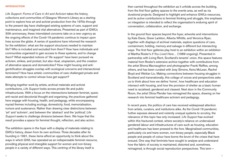# **INTRODUCTION**

*Life Support: Forms of Care in Art and Activism* takes the history, collections and communities of Glasgow Women's Library as a starting point to explore how art and activist production from the 1970s through to the present day have challenged existing systems of care, support and maintenance, and imagined vital alternatives. Presented as part of GWL's 30th anniversary, these interrelated concerns take on a new urgency as the ongoing effects of the Covid-19 pandemic continue to impact upon lives across the globe. A series of questions have informed the research for the exhibition: what are the support structures needed to maintain life? Who is included and excluded from them? How have individuals and communities organised to gain access to these systems, and to change them? What expanded notions of 'life support' have been pursued via activism, strikes, and protest, but also ritual, utopianism, and the creation of alternative spaces and domesticities? How might housing and antigentrification struggles overlap with ecological concerns and intersectional feminisms? How have artistic communities of care challenged private and state attempts to control whose lives get support?

Bringing together work by artists, archival materials and activist contributions, *Life Support* looks across private life and public infrastructures. With a focus on the intersections between feminist, queer, anti-racist and decolonial thought and organising, the practices gathered here engage with housing, health, and pedagogy, while encompassing myriad themes including ecology, domesticity, food, memorialisation, nurture and sustenance. Rather than drawing clear distinctions between 'art' and 'activism', and between the 'abstract' and the 'political,' *Life Support* seeks to challenge divisions between them. We hope that the result provides a space for feminist thought, reflection, and also action.

The exhibition opens in the foyer with a display of materials relating to GWL's history, drawn from its own archives. Three decades after its founding in 1991, these items afford an opportunity to think about the ways in which GWL has operated as an indispensable feminist resource, providing physical and intangible support for women and non-binary people in a variety of different ways. This centring of the library itself is

then carried throughout the exhibition as it unfolds across the building, from the first floor gallery spaces to the events area, as well as via durational projects. Designed to highlight and enhance GWL's resources, and its active contributions to feminist thinking and struggle, this emphasis on integration is intended to reflect the organisation's enduring spirit of conversation, collaboration, and exchange.

In the ground floor spaces beyond the foyer, artworks and interventions by Kate Davis, Greer Lankton, Alberta Whittle, and Veronica Ryan, together with displays of archival materials, explore questions of care, containment, holding, memory and salvage in different but intersecting ways. The first floor galleries play host to an exhibition within an exhibition of Martha Rosler's *If You Lived Here…* (1989-ongoing). Presented in partnership with Living Rent, Scotland's tenants' union, this space features material from Rosler's extensive archive together with contributions from the artist Shona Macnaughton and photographer Franki Raffles, among others, and has been curated with Joey Simons, Keira McLean, Rachel Boyd and Weitian Liu. Making connections between housing struggles in Scotland and transnationally, this collage of voices and perspectives asks us to think about how we define 'home', how healthcare and education intersect with housing, and how the provision of shelter as a basic human need is racialised, gendered and classed. Next door in the Community Room, the artist Olivia Plender has reimagined the space, drawing on her research into feminist healthcare activism and pedagogy.

In recent years, the politics of care has received widespread attention from artists, curators, and institutions alike. As the Covid-19 pandemic further exposes skewed and violently unequal systems to scrutiny, the relevance of this topic has only increased. *Life Support* has evolved within this fractured context, where society's reliance on undervalued gendered labour and infrastructures of care such as housing, education and healthcare has been pressed to the fore. Marginalised communities, particularly cis and trans women, non-binary people, especially Black people and people of colour have borne the brunt of the crises that have ensued. One way that feminists have sought to analyse and understand how the fabric of society is maintained, distorted and, sometimes, reimagined, is through social reproduction perspectives. This term –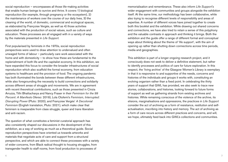social reproduction – encompasses all those life-making activities that enable human beings to survive and thrive. It covers 1) biological reproduction (for example, through pregnancy or the ecosystem), 2) the maintenance of workers over the course of our daily lives, 3) the cleaning of the world, of domestic, commercial and ecological spaces, as elaborated by Françoise Vergès, as well as 4) those activities associated with the production of social values, such as culture and education. These processes are all engaged with in a variety of ways by the materials presented in *Life Support.* 

First popularised by feminists in the 1970s, social reproduction perspectives were used to draw attention to undervalued and often unwaged forms of labour – particularly care work associated with the home and with domesticity – to show how these are fundamental to the replenishment of both life and the capitalist economy. In this exhibition, we have expanded this focus to consider the broader infrastructures of social reproduction which also scaffold the formal economy, from education systems to healthcare and the provision of food. The ongoing pandemic has both illuminated the bonds between these different infrastructures, while also foregrounding the necessity to build connections and solidarity across different areas of struggle and movements. We are in agreement with recent theoretical contributions, such as those presented in Cinzia Arruzza, Tithi Bhattacharya and Nancy Fraser in their *Feminism for the 99 Percent: A Manifesto* (Verso: 2019), Lola Olufemi's *Feminism, Interrupted: Disrupting Power* (Pluto: 2020), and Françoise Vergès' *A Decolonial Feminism* (English translation, Pluto: 2021), which make clear that feminism is inseparable from class struggle, queer and trans liberation and anti-racism.

The question of what constitutes a feminist curatorial approach has also consistently shaped our discussions in the development of this exhibition, as a way of working as much as a theoretical guide. Social reproduction perspectives have oriented us towards artworks and materials that negotiate acts of care and support from a structural perspective, and which are able to connect these processes with a variety of wider concerns, from Black radical thought to housing struggles, from transgender health to staff rooms, from food production to processes of

memorialisation and remembrance. These also inform *Life Support's*  wider engagement with communities and groups alongside the exhibition itself. At the same time, our methodology has been collaborative, while also trying to recognise different levels of responsibility and areas of expertise. A number of different voices have joined together to create both this booklet and the exhibition. While drawing out shared concerns and connections, we have also tried to retain a sense of this polyphony and the valuable contrasts in approach and thinking it brings. Both the exhibition and the guide offer a range of different formal and conceptual ways about thinking about the theme of 'life support', with the aim of opening up rather than shutting down connections across time periods, media and geographies.

This exhibition is part of a longer ongoing research project, and it consciously does not seek to deliver a definitive statement, but rather to identify processes and politics of care for future exploration. In this respect, the 'living archive' of the Glasgow Women's Library is exemplary in that it is responsive to and supportive of the needs, concerns and histories of the individuals and groups it works with, constituting an evolving organism rather than a fixed point. In celebrating the thirty years of support that GWL has provided, we also seek to trace new stories, collaborations, and histories, looking forward to future forms of support as well as gathering strands from existing archives and histories. While remaining conscious of the violence of the archive, its elisions, marginalisations and oppressions, the practices in *Life Support*  consider the act of archiving as a form of resistance, restitution and selfactualisation, inscribing into history and memory. The act of archiving as a form of care recurs across different practices and concerns, and will, we hope, ultimately feed back into GWL's collections and communities.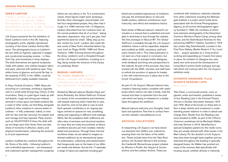#### **GREER LANKTON**

(1980s); please see wall texts for details of specific images. Photographic prints, including photographic print on a flag. Courtesy Greer Lankton Archive Museum

*Life Support* presents the first exhibition of Greer Lankton's work in the UK, featuring photographic prints, digitally reproduced, courtesy of the Greer Lankton Archive Museum. The photographs focus on Lankton's life-size dolls (or figures), captured in staged and constructed everyday scenes – in New York City, and sometimes in shop displays. The dolls themselves are layered sculptures made with plaster, wire clothes hangers, fabric and paint, adorned with taxidermy eyes. They reflect forms of glamour and social life that, in the austerity of NYC in the 1980s, could be fashioned from readily available materials.

In *Sissy Outside Einsteins,* 1986, Sissy sits slouching on a doorstep, smoking a cigarette next to a small white (living) dog, Cherry. In this incarnation, Sissy is a pale figure made up with red lipstick, rouge and strong eye-makeup, donned in a blue apron and black pinafore like a maid. In other works, we find Sissy alongside Lankton's other creations in various states of undress – in frilly underwear, naked, or even with her skin and hair removed, her plaster and wire ribcage and hips exposed. Party scenes such as *VALENTINES D* show the dolls with joy writ large upon their faces; there are also shots of moments of affection, desire, and physical transformation, reflecting the profundity of such experiences.

Lankton modified her creations throughout her life. Some of the dolls – following Lankton's own embodied experiences – are transsexual and underwent gender reassignment surgeries;

others are very skinny or fat. To a conservative viewer, these figures might seem grotesque. And like other extravagant, downtrodden, brilliant but marginalised people, they often had it rough. In a 1984 interview with *i-D Magazine,* Lankton described how her creations have 'all the normal problems that all of us have': 'eating disorders, depression, they can't get jobs, their apartments [are] too small', '[t]hey stay up too late, smoke too much'. Lankton also made lifesize works of New York's influential fashion figures, such as *Peggy Moffitt,* 1986 and *Diana Vreeland,* 1989. Echoing themes throughout the show, Lankton's work is threaded throughout the *Life Support* exhibition, including on a flag, flying outside the entrance of the Library on Landressy Street.

### **MANUAL LABOURS**

*The Global Staffroom* (2019-21) Manual, podcast and workshop Contemporary Art Research Collection, The University of Edinburgh

Hosted by Manual Labours (Sophie Hope and Jenny Richards), the *Global Staffroom Podcast*  is a series of live conversations and interviews with people exploring what it feels like to care, be cared for, and not be able to care at work. Each episode contributes to an ongoing dialogue centred on spaces for rest, socialising, eating and organising in different work settings. While, like the workplace itself, staffrooms are often sites of exclusion and structural injustice, for many they are rarely encountered, as labour conditions become yet more isolated, individualised and precarious. Through these informal lunchtime chats, we are asked to imagine an itinerant staffroom as an intersectional space for politicisation, collectivity and transformation that foregrounds care on the basis of our different needs and desires. Across the 17 episodes a range of topics are explored including gendered and racialised experiences of lockdown, sick pay, the emotional labour of care and health workers, staffroom architecture, food insecurity, care ethics and resistance tactics.

Each phase of Manual Labours' research culminates in a manual that is published and available to download or buy through the website. The first prototype of *Manual #5: The Global Staffroom* is available through the *Life Support*  exhibition where it will be expanded, adapted and modified as GWL volunteers, staff and users interact with it. This initial publication is not seen as a final output or conclusion, but rather as a way to activate further dialogues, invite feedback and bring new perspectives to the material. As part of this process, they have worked with the GWL volunteer and staff team to rethink the provision of spaces for breaks in line with restrictions put in place due to the Covid-19 pandemic.

As part of *Life Support*, Manual Labours have created a listening station complete with useful props where visitors can take a break, read the manual and listen to episodes from the podcast which are being re-released on a weekly basis throughout the exhibition.

Manual Labours welcome your thoughts, feedback and questions. Feel free to contact them via their website: manuallabours.co.uk

### **ARCHIVAL COLLECTIONS**

In researching *Life Support,* we have drawn out elements from GWL's own collections, weaving them into the fabric of the exhibition. These include items from the Take Root archive, the Scottish Women's Aid archives, the Castlemilk Womanhouse project initiated by Women in Profile, the *Harpies & Quines* archive, and the Lesbian Archive. These are

combined with resistance materials materials from other collections including the Bishopsgate Institute in London which holds items associated with the Format Photographers Agency, an all-women photographers agency founded in 1983, the members of which took extensive photographs of the Greenham Common Women's Peace Camp, among other events, and the Switchboard Archives for this pioneering LGBTQ+ helpline, founded in 1974 (as London Gay Switchboard). Located in the First Floor Gallery, Martha Rosler's *If You Lived Here…* project operates as a 'living archive', evolving and expanding as it travels from place to place. Its invitation to Glasgow has catalysed new work around the development of Living Rent's archive (both analogue and digital) which will continue after the *Life Support* exhibition ends.

# **HITHERTO UNKNOWN: TILLIE OLSEN'S READING LISTS** Book boxes

Tillie Olsen, a communist activist, union organiser, writer and teacher, published a series of four Reading Lists in the Feminist Press's *Women's Studies Newsletter* between 1972 and 1974. Most of the books on these lists reflect a deep interest and investment in understanding power relations in order to attack and change them. Books from the Reading Lists were donated to GWL as part of the *Hitherto Unknown* workshops led by Bechaela Walker and Joey Simons in 2019. Identified by a special bookplate pasted into the inside cover, they are usually shelved with other books in the Main Library. For the duration of *Life Support*, they have been brought back together and are stationed throughout the building in specially designed boxes. As Walker has pointed out, many of the volumes deal specifically with housing issues, whether directly or indirectly.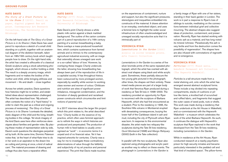#### **KATE DAVIS**

*The Glory of a Great Picture is in its Shame I* (2012). Pencil on paper, digital pigment fine art print. Contemporary Art Research Collection, The University of Edinburgh

On the left-hand side of *The Glory of a Great Picture is in its Shame I,* Kate Davis has used pencil to reproduce a sketch of a small child standing on a plinth, together with an anatomical diagram of the skeleton beneath, taken from an 18th/19th century book which taught people how to draw. On the right-hand side, the artist has created a silhouette of a classical Greek sculpture using a stock advertising photograph, which shows a mother holding a child. The result is a deeply uncanny image, which fragments and re-makes the bodies of the mother and child, while bringing stillness and movement – life and death – close together.

Across her artistic practice, Davis questions how histories might be re-written, and established ideas about representation challenged. The artist has described how: 'My artwork often contests the notion of a "hard history" in order to claim the past as a critical and ongoing process of revisioning'. *The Glory of a Great Picture is in its Shame I* contrasts the detailed, static diagram of the child and the living, breathing bodies in the collage. Yet stock imagery of the kind Davis uses here often reinforces stereotypes about families and gender roles. By placing these modes of representation side by side, Davis's work questions the ideologies perpetrated by both. At the same time, Dominic Paterson notes that, 'at the heart of what Kate tries to do in her work is an aspiration to the drawn line as cutting and joining at once, a kind of radical care'. The material processes of drawing and collage thus also have a reparative effect.

#### **KATE DAVIS**

*Charity* (2017) Print. Contemporary Art Research Collection, The University of Edinburgh

Kate Davis's print *Charity* shows a white plastic milk carton against a black marbled background. The outline of the carton contains part of a pencil reproduction of a 16th century painting of a woman breastfeeding a baby. Davis overlays a mass-produced household item, which contains sustenance from farmed animals and is intrinsic to the contemporary agricultural-industrial economy, with an image that ostensibly shows unwaged care work or a so-called 'labour of love.' However, by overlaying these images *Charity* undercuts the latter, showing how breastfeeding has always been part of the reproduction of life in a capitalist society. It has throughout history been outsourced by more privileged women, especially by wealthy white women to working class women and women of colour. Childcare and nutrition are sites of significant power imbalance, misogynist condemnation, and the formation of deeply gendered and racialised power constructs which circumscribe and limit notions of parental care.

In a 2017 interview about the larger film project which this print relates to, the artist described how: '*Charity* builds on the essence of my practice, which often uses feminist approaches to rethink the ways in which histories are produced and perpetuated. The production of human milk to feed babies is usually unrecognised as "work" – in economic terms it is unpaid and of no financial value. Yet it has inspired artworks for centuries. *Charity* was a way for me to investigate these contradictory determinations of value through the fallibility and subjectivity of my art practice and personal experience.' The print that Davis made touches

on the experiences of containment, nurture and support, but also the significant pressures, stereotypes and inequalities embedded into constructs of the maternal. It draws attention to an everyday, overlooked object, and uses a feminist lens to highlight the wider social infrastructure of often unacknowledged and unwaged socially reproductive acts that it is intrinsically part of.

### **VERONICA RYAN**

*Lamentations in the Garden* (2000) Acrylic on silver bromide prints. Arts Council Collection

*Lamentations in the Garden* is a series of five silver bromide prints of the same repeated photograph, which the artist has overlaid with abstract oval shapes using black and white acrylic paint. Sometimes, these partially obscure the two young girls pictured in the photograph; other times, the shapes veil them entirely. These mixed media pieces are part of a larger body of work that Veronica Ryan produced during a residency at Tate St Ives in 1998–2000. The residency provided an opportunity for Ryan to reconnect with the sculpture of Barbara Hepworth, which she had first encountered as a student. Prior to the residency in 1995, the Soufrière Hills volcano in Montserrat erupted with devastating consequences, burying the lower half of the Caribbean island in ash and mud, including the city of Plymouth where Ryan was born. In response to this environmental disaster, the artist made two reliquary-like sculptures during the Tate St Ives residency, *Quoit Montserrat* (1998) and *Mango Reliquary* (2000) (both in the Tate collection).

In parallel with the two sculptures, Ryan also explored using photographs and acrylic paint as another way to reflect on these events. The photograph in *Lamentations in the Garden* is

a family image of Ryan with one of her sisters, standing in their back garden in London. The work is in part a response to Ryan's loss of siblings to suicide, meditating on the connections between individual grief and collective mourning. The abstract shapes also suggest ideas of protection, containment, and preservation. Recently, Ryan has started working with volcanic ash as a material, and has long noted its mineral richness: 'Paradoxically this ash is very fertile and from the destruction comes the possibility of regeneration'. The shapes here are also infused with connotations of regrowth and re-emergence.

# **VERONICA RYAN**

*Particles* (2017) Mixed media. Wakefield Permanent Art Collection (The Hepworth Wakefield).

*Particles* is a tall structure made from a metal shelving unit, onto which the artist has arranged several abstract sculptural forms. These include a tray divided into repeating compartments, stacks of cushions or pillow-like items, a knotted ball of scrunched and ruffled fabric, and fragments that suggest the outer cases of seed pods, nuts or shells. This work was made during a residency that Ryan undertook at the Art House in Wakefield, and co-commissioned with the Hepworth Wakefield – a museum which celebrates the work of the artist Barbara Hepworth. As such, it continues the dialogue with Hepworth's sculpture that Ryan explored in the work that developed from the Tate St Ives residency, including *Lamentations in the Garden*.

While in residence at the Art House, Ryan conducted research at a nearby psychiatric prison for high security inmates and became particularly interested in the padded cell and 'that kind of insulated space'. The pillow-forms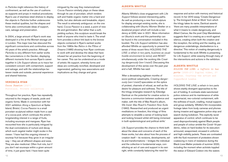in *Particles* might reference this history of confinement, as well as the use of cushions as supports and props in medical procedures. Ryan's use of stainless-steel shelves to display the objects in *Particles* further underscores these medical qualities, but the shapes and forms also communicate ideas of support, care, salvage and preservation.

In 2004, a large amount of Ryan's work was destroyed in a fire at the Momart storage unit in London. This major loss has obscured the significant connections and continuities across 40 years of the artist's practice. Although *Particles* is very different from earlier works like *Lamentations in the Garden*, displaying different moments from across Ryan's career together in *Life Support* allows us to trace her consistent concern with containment, support and salvage, and with the relationships between inside and outside, personal experience and shared histories.

#### **VERONICA RYAN**

*Cocoa Passion* (2021) Porcelain. Private collection

Throughout her practice, Ryan has repeatedly returned to the imagery of seeds, pods and organic forms. Made in connection with her 2021 exhibition *Along a Spectrum* at Spike Island, Bristol, *Cocoa Passion* is a small porcelain sculptural edition made from a cast of a cocoa pod, which continues the artist's longstanding interest in a range of fruits, including soursops and mangoes. Ryan has recounted how she is particularly intrigued by the dual connotations of nurture and decay which such vegetal matter might evoke in the viewer: 'I have had this ongoing interest in soursop fruit because they grow in an irregular way – they are all different shapes and sizes. They are also medicinal. Often fruit rots, but if you don't eat soursops within a given amount of time, it just goes hard. I have been quite

intrigued by the way they metamorphose.' *Cocoa Passion* similarly plays on these ideas through its use of porcelain, which renders soft and friable organic matter into a hard and brittle, but also delicate and breakable, object. The result is extremely ambiguous: on the one hand, *Cocoa Passion* is a seed, a point of new life and germination. But rather than a soft, yielding surface, this sculpture would break the teeth of anyone who tried to taste it. The small form provides a direct link back to the bronze objects contained in Ryan's earliest works from the 1980s like *Relics in the Pillow of Dreams* (1985) showing how Ryan continues to work with and develop the ideas that have infused her art practice from the beginning of her career. This can be understood as a mode of artistic life support, whereby forms and ideas are continually revivified, developed and regenerated, gathering new associations and implications as they change and grow.

# **ALBERTA WHITTLE**

Alberta Whittle's close engagement with *Life Support* follows several intersecting paths. As well as producing a new floor sculpture for display amongst existing works, she is collaborating with Ubuntu Women Shelter on a durational project which will include a residency at GWL later in 2021. More information on Ubuntu's work and this partnership can be found in the conversation included in this booklet. The *Life Support* exhibition has also afforded Whittle an opportunity to present her series of three recent film*s HOLDING THE LINE: a refrain in two parts, business as usual: hostile environment (a remix)*, and *RESET* simultaneously under the working title *Creating dangerously (we-I insist!)*. Discussing this development of this series over the past year and a half, Whittle has said:

'After a devastating eighteen months of socio-political catastrophe, *Creating dangerously (we-I insist!)* speculates on the optics of protest, channels of refusal, as well as the desire for pleasure and softness. The title of the trilogy entangles research by Edwidge Danticat on the potential for creative action to become a communion between audience and maker, with the title of Max Roach's album, *We Insist: Max Roach's Freedom Now Suite*  (1960). Researched and produced as urgent meditations on freedom, this trilogy of films attempts to straddle a sense of looking back and looking forward whilst still being immersed in both epidemiological and political strife.'

*Life Support* provides the chance to think both about the ideas and concerns of each of the these works, but also about how the process of creation itself – its revisions, developments, edits and transformations – bridges the individual and the collective in fundamental ways, constituting an act of care and support in its own right, while constantly balancing the need for

response and action with memory and historical record. In her 2010 essay 'Create Dangerously: The Immigrant Artist at Work' from which the trilogy takes its name, Danticat asserts: 'there are many possible interpretations of what it means to create dangerously, and Albert Camus, like the poet Osip Mandelstam, suggests that it is creating as a revolt against silence, creating when both the creation and the reception, the writing and the reading, are dangerous undertakings, disobedience to a directive.' This notion of creating dangerously is fundamental to the work Whittle is presenting for *Life Support*, while weaving through many of the interventions and actions in the exhibition.

# **ALBERTA WHITTLE**

*HOLDING THE LINE: a refrain in two parts* (2020-21) Digital video, 21 minutes. Courtesy the artist and Copperfield London

*HOLDING THE LINE: a refrain in two parts*  shows starkly divergent approaches to the act of holding. It contrasts state-sanctioned police violence and its maintenance of white supremacist, neo-colonial containment, with the softness of touch, cradling, mutual support, and group solidarity. Whittle's film incorporates footage taken from body cameras and phones during invasive and aggressive police stop and search during lockdown. This explicitly racist apparatus of control, which continues to be used disproportionately against Black people and people of colour amidst the Covid-19 pandemic, relies on hard bodies for its execution: armoured, weaponised, encased in uniforms and high-visibility jackets. These are contrasted with the fluid movement of protesters shown coalescing in rivers of resistance during the Black Lives Matter protests of summer 2020, including the moment when activists toppled the statue of Edward Colston into the waters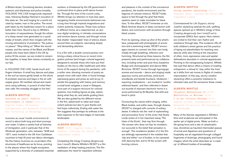of Bristol docks. Countering barriers, borders, systemic anti-blackness and police brutality, *HOLDING THE LINE* foregrounds waywardness, following Saidiya Hartman's evocation of this state as: 'the avid longing for a world not ruled by master, man or the police. The errant path taken by the leaderless swarm for a place better than here.' Sound is key to Whittle's invocation of waywardness, though the refrain of a sharp-sweet note generated on a quick intake of breath, which then mingles with the moving exhortations of protestors: "No justice, no peace." "Stop killing us." When the sound ceases, and the names of the Black and Brown people who have been killed in the UK by police fill the screen, we are invited to remember together, to keep their names constantly on our lips.

In *HOLDING THE LINE*, hands touch and fingers interlace. A small boy dances and plays in the surf as waves gently break on the shore. A protester swerves and leaps in the air with supple grace. All manifest refusal and resistance using softness, in pursuit of what Hartman calls 'the everyday struggle to live free'.

### **ALBERTA WHITTLE**

*business as usual: hostile environment (a remix)* (2020-21) Digital video, 36 minutes. Contemporary Art Research Collection, The University of Edinburgh

*business as usual: hostile environment (a remix)* is about both long and short journeys over water. It takes a careful look at histories of immigration, and in particular that of the Windrush generation, who, between 1948 and 1971, were invited to the UK from Caribbean countries to help fill post-war labour shortages. Via this history *business as usual* takes infrastructures of healthcare as its focus, pointing to the places where this fragile ecosystem, supported by a diversity of underpaid essential

workers, is threatened by the UK government's continued drive to place profit above human life. Through the lens of the current crisis, Whittle brings our attention to lives less seen, navigating hostile environments fashioned over a long time through imperial imaginations and violent austerity measures. These lives surface in different forms, as a reasoned text, an anxious digital rendering, in intimate conversations and emotive dance scenes, and through voices that shatter 'respectable' lines of silence drawn around them as subjects, resonating deeply and demanding attention.

It is a film with a double consciousness combining a sharp critical focus on recent immigration policies (and longer colonial legacies), designed to exclude those who have put their bodies on the line to offer healthcare and other forms of life support during the pandemic, with a softer view, showing moments of poetry as people move with each other in found footage, expressing grace and poise as well as joy. In amidst this grappling with history and memory a small boat navigates a canal in Glasgow, once part of a support structure for colonial systems, now holding figures at play, sisters doing what they do, and adults guiding them. We are also quided by the different voices in the film, asked both to rebel and resist violent policies but also to give thanks and find hope collectively. Ending with water the film suggests that perhaps its softness is the best response to the hard edges of manmade landscapes.

### **ALBERTA WHITTLE**

*RESET* (2020) Digital video, 32 minutes. Courtesy the artist and Copperfield London

Completing the trilogy *Creating dangerously (we-I insist!)*, Alberta Whittle's *RESET* is a film meditation of deep healing practices. The film addresses the need for reparative softness

and pleasure in the context of the coronavirus pandemic, the hostile environment and the legacies of colonial violence. *RESET* holds space to feel through the grief that these systems seem to make inevitable for black lives. To this effect, *RESET* immerses us into Black feminist dreams of deep connection with desire, and communion with ancestors through black oceans.

From its opening, close-up shot of the artist's face, juxtaposed with photographs of ancestors and a swimming snake, *RESET* encourages viewers to connect into their own body, initially through breathing, reflection and humming. Structured as three lessons, the film presents texts and performances by collaborators, including writer and poet Ama Josephine Budge and choreographer and dancer Mele Broomes. *RESET* moves through hypnogogic scenes and sounds – dance and singing inside spacious rooms and archives, amid burnt woodlands and beside fountains. Ululations – wavering vocalisations – are invoked to 'soothe withered hearts', and then reflected in drawn out sounds of resonant electronic horns in a score performed by St Mozelle, that shift and bend in pitch.

Connecting the waves within singing, within Black bodies, and within seas, through dreams, *RESET* is charged with currents of solitary desire. It reflects into the 'well of replenishing and provocative force' of the erotic that Audre Lorde writes of in her important essay 'The Uses of the Erotic', that may flow through 'the woman who does not fear its revelation, nor succumb to the belief that sensation is enough'. The revelations spoken of in the film are strikingly represented in the marbles that 'slip and slither' out of bodies, to be caressed with dancing feet, and to fill the screen with burning colours.

#### **ALBERTA WHITTLE**

*stormy weather skylarking* (2021) Urethane resin. Courtesy the artist and Copperfield London

Commissioned for *Life Support*, *stormy weather skylarking* extends the soft, uplifting spaces opened up in Whittle's trilogy of films *Creating dangerously (we-I insist!)* out to incorporate GWL's floor space. Here visitors are invited to find their own rhythm and resistance through play. This sculpture riffs off both children's street games and the practice of laying out placeholders for teaching new dances while also hinting at the imposition of other, more oppressive rules and spatial delineations abundant in colonial apparatuses. Pointing to the transgressing footprint, Whittle has said that dance offers a means of evading entrapment, a refusal to 'stay within the lines' as it shifts from set moves to flights of creative improvisation. In this way, *stormy weather skylarking* offers a powerful resistance to inherited rules and the exclusions these create.

# **ALBERTA WHITTLE**

*Celestial Meditations II* (2018) *Meditations on Welcome* (2018) *C is for Colonial Fantasy* (2017) Digital prints. Contemporary Art Research Collection, The University of Edinburgh

Many of the themes negotiated in Whittle's films and sculptures are anticipated in this earlier set of digital prints. Water as both a life-giving force and a site of catastrophic loss, shorelines as haunted intermedial spaces of arrival and departure and questions of hospitality are all negotiated through collaged fragments of drawings, photography and found imagery which the artist describes as 'a mash up' of different bodies of knowledge.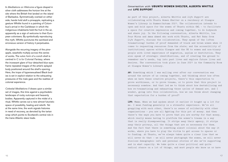In *Meditations on Welcome* a figure draped in silver cloth addresses the horizon line at the site where the British first landed on the island of Barbados. Symmetrically overlaid on either side, hands hold aloft a pineapple, replicating a gesture Whittle found in a painting of Colum bus's arrival in the Caribbean in which the indigenous inhabitants held the fruit in the air, apparently as a sign of welcome to their Euro pean colonisers. By symbolically reproducing this myth, Whittle punctures the sanitised and erroneous version of history it perpetuates.

Alongside the recurring imagery of the pine apple, seashells multiply across this series of works. The vulvic form of a conch shell is centred in *C is for Colonial Fantasy*, where the incessant glare of four detached blue eyes frame repeated images of the artist's splayed body positioned around the shell's opening. Here, the trope of hypersexualised Black bod ies is set in explicit relation to the exhausting pressures of the male gaze and the realities of colonial experience.

*Celestial Meditations II* draws upon a similar set of images, this time against a psychedelic landscape of rocky outcrops and heavenly bodies. Apparently captured in the midst of a ritual, Whittle carves out a new almost futuristic space of possibility, healing and rebirth. Yet at the same time, the work signals histories in need of recovery, as denoted by the tartan wrap which points to Scotland's central role in the trans-Atlantic slave trade.

# *Conversation with* **UBUNTU WOMEN SHELTER, ALBERTA WHITTLE**  *and* **LIFE SUPPORT**

As part of this project, Alberta Whittle and *Life Support* are collaborating with Ubuntu Women Shelter on a residency at Glasgow Women's Library in Summer/Autumn 2021. The collaboration intends to open and hold space for the women of Ubuntu within GWL – to facilitate a space for creative expression and coming together, to do bodywork and share joy. In the following conversation, Alberta Whittle, Loa Pour Mirza and Amna Ahmed who work with Ubuntu, and Nat Raha from *Life Support*, discuss the collaboration. They speak of the (often traumatising) burden of proof demanded of black and brown women when it comes to requesting resources from the state; and the accessibility of institutional spaces within Glasgow and the UK to women and non-binary people with lived experience of migration, asylum or destitution. They also speak of strategic identifications, and of creating the ground to remember one's needs, tap into past lives and explore future lives and desires. The conversation took place in June 2021 in the Community Room at Glasgow Women's Library.

**AW:** Something which I was mulling over after our conversation was around the nature of us coming together, and thinking about how often when we have these creative projects, there's this expectation to prove worthiness, or to prove trauma, or to prove that this project is necessary somehow. And that led me to think about how destabilising and how re-traumatising and exhausting those cycles of demand are. And I wonder, going into this collaboration, how we can think about changing that expectation for a burden of proof?

**LPM:** Mmmm. When we had spoken about it earlier it bought up a lot for me. I mean funding generally is a stressful experience. We're all grappling with each other, there's no sense of solidarity with other organisations – you are all fighting for this pot of money. And then there's the ways you have to prove that you are worthy for that money, which really means having to platform the women's trauma in a way that is really disempowering. It strips away their agency, it strips away their privacy, all the things that are so necessary for them. And the fact that there is something almost colonial about the way it works, where you have to play the victim to get access to spaces or to funding. At Ubuntu, we've always taken quite a clear line that we will never do that – we will never photograph the women, we will never disclose demographic info and personal stories of who we're supporting and in what capacity. We take quite a clear political and quite radical stance on a lot of things, and most people who know us or have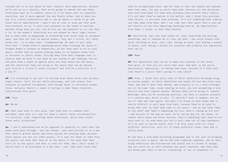reached out to us are aware of that. There's this expectation, because we're set up as a charity, that we're going to embody the way these structures want us to behave, which is to be these sort of corporate charities, and it goes against the way Ubuntu works. And so when you say it's a fluid conversation and it can go where it needs to go and there are no expectations – that's how we like to work and that puts less pressure on us, it puts less pressure on the women to perform. Another thing that you see, and we did our own research on it, was that a lot of the women's identities are now shaped by their legal status. And so what ends up happening is everything else about them is stripped away, and they are just an asylum seeker, they are a victim. All these words are – in so many ways – disempowering. We want to pull away from that. I think there's something about them claiming the space at Glasgow Women's Library as themselves, as who they want to be in this space, rather than as asylum seeking women or as migrant women with no recourse to public funds. Pulling away from that language that is usually what we have to use when we are trying to get funding. How we can give them a sense of agency about how they wanna use the space, and the identities they can bring to the space that can go beyond just "you're a victim of state violence" and "you're a survivor of x, y and z".

**AW:** I'm listening to you and I'm writing down these words like privacy, legal status, (well for me) white patronage, and like almost this pressure to perform victimhood, even though there is obviously trauma there. Actually there's a sense of having to make these corporate institutions feel good?

#### **LPM**: Yeah

#### **AA:** Mm-hm

**AW:** That they have to feel good, that they have to somehow feel satisfied, that this is a way for them to derail their accountability for actually, like, supporting these structures, which then create these awful situations?

**AA:** I don't understand how we're supposed to quantify or label what the women have gone through – and the trauma – and then portray it in a way that they've gotten better and these spaces are helping them, because these spaces are not for other people. It's just for them: to take from the space; the work that they do in the space or the work that they don't do in the space; and what it does for them. And I don't think it should have to be portrayed in a way that – yes, they have found that

they've accomplished this, and for them to feel and behave and express what they want, the way in which they want. Because all the decisions that have been made for them have probably been without their choice, it's not what they've wanted in the matter. And I think this provides them choice, it provides them autonomy. It's not something that someone can take away from them. And I can come into this space that's just me and there's no one else expecting anything from me. No expectations from them, I think, is what they deserve.

**AW:** Absolutely. And like that sense of, like, deserving and feeling deserving. And it reminds me of like, my Gran – she would always talk about catching an ease. Just like, having an ease, just having a moment of peace, just taking a breath for yourself and actually how impossible that can be.

#### **LPM:** Mmmm

**AW:** How impossible that can be to make this machine of the state feel good, so that you *can* catch that ease. And what is the price, emotionally, physically, on taking that ease, because it's then just like there's a price that's going to come later?

**LPM:** Yeah. I think this whole idea of their identities becoming being an asylum seeker, so their identities are based off how the state sees them, and that's what they embody. And actually it is a very strategic one at the same time, cause bearing in mind, you are navigating a very hostile and very complex system. Because when you're going to lawyers meetings, when you're accessing services, you have to present yourself in a certain way, which is shit. It shouldn't have to happen, but we see it time and time again. And what I've found is that women find it really difficult to pull away from that, because they're so used to doing that now. So when they come to our space – and we ask them "what do you need" and "what's happening for you, what's coming up for you" – and because of the way we work, we're led by and for the women, we centre their needs and their choices, that's something that they're not very used to. So even when you try to pull them out of that headspace of *I am just an asylum seeker* into *I am this women with all these different identities, with all of these different needs*, they find it really hard.

We had done a nine-week wellbeing programme and it was just us bringing ourselves into a space, and we had done bodywork together, and we were doing reflections and discussions and poetry and all kinds of things, and you could see at first everyone was quite reserved. And then when you broke past that it was *so* liberating, it was so wonderful to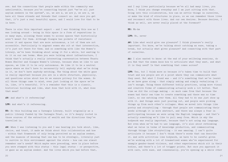see. And the connections that people made within the community was unbelievable, because you're connecting beyond just "we're all just asylum seekers in the system", no, we are x, we are y, we are z, we have all these strands and threads that connect us. And once you get that, it's just a real beautiful space, and I would love for that to be in here.

There is also this important aspect – and I was thinking this now as I was looking around – being in this space is a form of reparations in so many ways, allowing these women to access spaces that historically aren't meant for them. Although Glasgow has pockets of resistance across it and spaces that are more autonomous, a lot of them are not accessible. Particularly to migrant women who sit at that intersection, it's just not there for them. And so something with like the Women's Library, we've been thinking about using it for a while, but wanting to do it on our own terms. When you were talking about infrastructure, I think that's actually a really interesting conversation between Ubuntu Women Shelter and Glasgow Women's Library, because when we like to use spaces, we like it to be *very* autonomous. We like it to be a neutral space where we don't have to necessarily tell anybody what we're doing in it, we don't have anybody watching. The thing about the white gaze is really important because you are in a white structure, physically, and questions arise about how do we ensure privacy for the women. So all those things came to mind, even just looking at the space we're in, like, it's beautiful. It's a reminder that this is a classic, historical building and like, what does that hold with it, what does that mean?

**AW:** And what's it referencing?

**LPM:** And what's it referencing.

**NR:** So this building was a Carnegie Library, built originally as a public library funded by the Carnegie Trust, so it's deeply rooted in those sources of the extraction of wealth and the directions they've travelled in.

**AW:** When I was listening to you and I was hearing you talk about, like, choice, and trust, it made me think about this collaboration and how – within that framework of only being perceived as an asylum seeker, and the nuances of knowing that one has to be strategic, literally just to survive in this environment against the state – how can one almost remember one's needs? Which maybe were preceding, were in place before you were stamped with this status – this legal status – or perspective, or gaze as an asylum seeker. And the lives which you had before that,

and I say lives particularly because we've all had many lives, you know, I think you change everyday and I am just sitting with that. Going into this collaboration, how can we settle things in ourselves, or make the kind of structures in place, so we can remember those lives and reconnect with those lives. And our own desires. Because desires, I think as well, are never really placed at the foremost?

#### **NR:** Mh-hm

#### **LPM:** No, never

**AW:** Like what would give one pleasure? I think pleasure's really important. You know, we're talking about catching an ease, taking a break, but actually what gives pleasure? And connecting with that part of ourselves.

**AA:** I also wanted to know: at the end of your wellbeing sessions, do you find that the women know how to articulate what they want, and what it is they need? Is that something that comes across?

**LPM:** Yes, but I think more so because it's taken time to build that trust and now people are at a point where they can communicate what they need. But what I found was – and it's something that we've learnt as we have gone along – that simply asking and simply verbalising it isn't enough. Using these different bodily practices, using more visual and creative forms of communicating actually work a lot better. That time we did the collage making – so much came from that because the women had their own time to create something and there was no time limit, no one watching over them. All they had to do was just show up with it. And things were just pouring out, and people were picking things up from each other's collages. When we moved into things like poetry and storytelling – through that people are communicating their needs although it is more abstract, and there was always a fear in participating because we were using the English language – and that's actually something we'd like to pull away from. Which is why the bodywork was really important, because that's not using any language. But even when we've had to use language, it's also about rethinking what we value in terms of knowledge production, and communicating through things like storytelling – it was amazing. I can't quite articulate it because I don't think there's words that can describe it. And with activities like bodywork, we have to be careful given we're working with a lot of traumatised women who've experienced for example gender-based violence, and other experiences which sit in their bodies, and there's a lot of trigger points. But once you approach it with care, with ease, and consensually, you're opening up a whole other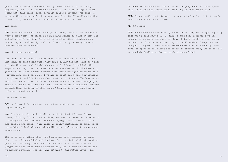portal where people are communicating their needs with their body, physically. So I'd be interested to see if that's one thing we could bring into this space, cause actually that's something ever since we stopped the session, we've been getting calls like "I really miss that, I need that, because I'm so tired of talking all the time".

#### **AW:** Yeah.

**LPM:** When you had mentioned about prior lives, there's this assumption that before they were stamped as an asylum seeker they had agency, and actually that's not true for a lot of people, like, thinking about where they sit culturally, and just I mean that patriarchy knows no borders knows no bounds –

#### **AW:** of course, absolutely.

**LPM:** And I think what we really need to be focusing on is how we can get women to that point where they can actually tap into what they need and who they are. And I think about myself. I haven't had half the experiences they have, but even this sense – what was I like before  $x$ , y and z? And I don't know, because I've been socially conditioned in a certain way, and I feel like I've had to adapt and mould, particularly as a migrant, and I'm just at that breaking point where I'm figuring out who I am. And I think that's me, so what about all these other people, with all these other intersectional identities and experiences. There's so much there in terms of this idea of tapping into our past lives, it's more about a new life –

#### **AW:** Future lives –

**LPM:** A future life, one that hasn't been explored yet, that hasn't been tapped into yet.

**AW:** I think that's really exciting to think about like our future lives, planning for our future lives, and how that features in terms of thinking about what we want. You know saying *I want*. I mean, I still find that so impossible, this makes me really emotional, to think about that. Like, I feel with social conditioning, it's *so hard* to say those words aloud.

**NR:** We've been talking about how Ubuntu has been creating the space for certain kinds of bodywork to take place, certain kinds of creative practices that help break down the barriers, all the institutional jargon that the women have to internalise, and we have to internalise to navigate funding, etc etc. And getting to the future lives – how

do these infrastructures, how do we as the people behind these spaces, help facilitate the future lives once they've been figured out?

**LPM:** It's a really murky terrain, because actually for a lot of people, your future's not certain here.

#### **NR:** Of course.

**LPM:** When we've broached talking about the future, next steps, anything like that people shut down. So there's this real resistance to it, because it's scary, there's a lot fear. I don't really have an answer to that, but I think it's something that will evolve. I hope that we can get to a point where we have created some kind of community, some level of openness and safety for people to explore that, and to see how we can help facilitate further explorations of that.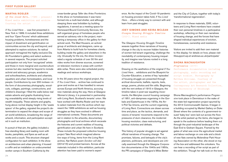#### **MARTHA ROSLER**

*If You Lived Here…* (1989 – present) Mixed media exhibition and archive Courtesy the artist

*If You Lived Here …* was first presented in New York in 1989. It included three exhibitions and four 'Open Forums' which addressed housing problems, homelessness and the impact of divestment and gentrification on communities across the city and beyond, and attempted to explore solutions. Its radical approach reimagined the highly exclusive Dia Art Foundation's gallery and select audience in several respects. The project solicited participation not only from 'recognized' artists and those in more marginal and counterculture scenes but also reached far beyond to include activist and advocacy groups, academics and schoolteachers, architects and urbanists, squatters and urban homesteaders, and local people. Contributions by over 200 invitees—in the form of documentary photography, woodcuts, collages, paintings, constructions, and children's drawings—filled the walls below real estate adverts and graphs illustrating housing unavailability amid steeply rising levels of wealth inequality. These adverts and graphs, hung above normal display height in the 'waste space' of the gallery, signaled the project's determination to expand the shape and scope of art world exhibitions, broadening the range of artwork, information, and participation accepted in such an institution.

In pursuit of that aim, the gallery included a free-standing library and reading room with books, pamphlets, and flyers as well as art works and a couch. This structure changed configuration for each exhibition. In the show on architecture and urban planning, it housed a coffin and an installation on undocumented worker camps in Southern California by the

cross-border group *Taller des Artes Fronterizos.* In the show on homelessness it was transformed into a multi-bed shelter, and although sleeping there was forbidden by building regulations, it served as a meeting space for Homeward Bound Community Services, the self-organized group of homeless people who served an advisory role in the project, maintaining a temporary office in the gallery for their activist work. The Mad Housers, an activist group of architects and designers, came up from Atlanta to build huts for homeless clients, building inside the gallery and elsewhere in the city. Unusually for the era, the show incorporated a regular schedule of over 30 film and video works from diverse sources, screened on television monitors in areas with comfortable sofas. There were also scheduled poetry readings and various workshops.

In the 30 years since the original project, the *If You Lived Here…* archive has continued to grow and evolve as it has travelled to venues across Europe and North America, accruing new materials along the way. Here at Glasgow Women's Library, it is presented in partnership with Living Rent, Scotland's tenants' union. We have worked with Martha Rosler and her team to select materials from the archive which represent the 1989 exhibitions as well as housing struggles as they have evolved in different international contexts. These documents are set in relation to the artworks, documentary photographs and local archives which excavate the histories and current realities of housing, gentrification and urban life here in Scotland. These include the proposed collective housing project Take Root which imagined alternative ways of living, items from the Living Rent archive, Nat Raha's poem *(london will die)*  (2014/15) and protest banners. Across all the materials included in this exhibition, particular attention has been paid to women's experience. As the impact of the Covid-19 pandemic on housing provision takes hold, *If You Lived Here…* offers a timely way to connect with and learn from past struggles.

# **JOEY SIMONS AND KEIRA MCLEAN** *Glasgow Housing Struggle Timeline* (2021). Mixed media

The *Glasgow Housing Struggle Timeline*  weaves together three narratives of housing change in the city to recover hidden histories of women-led tenant organising, challenge the inevitability of contemporary housing inequality, and imagine new futures rooted in a long tradition of resistance.

Drawing on the aesthetics of the original *If You Lived Here…* exhibitions and the Blueprint for Counter-Education, a series of key 'episodes' of housing struggle are presented through archival documents, leaflets, reports, texts, songs, poems, photos and film stills. Beginning with the rent strikes of 1915 in Glasgow, the timeline takes in post-war squatting movements, the Merrylee council housing campaign of 1951, anti-dampness organising in the Gorbals and Easterhouse in the 1970s, the Anti-Poll Tax Unions, and the current organising of Living Rent. Connections are drawn across time and place, as the tactics, demands, and visions of tenants' movements respond to the pressures of slum clearance, the modernist housing revolution, class restructuring, and political victories and defeats.

This history of popular struggle is set against official narratives of housing change. The promises, failures, and betrayals of the city's planners, politicians, and developers are critically examined through the Glasgow Corporation documentaries of the 1940s and 1950s, the PR campaigns of Glasgow's Miles Better

and the City of Culture, together with today's 'transformational regeneration'.

In response to these materials, GWL volunteers and Living Rent members have created their own personal timelines in a participative workshop, reflecting on their own narratives of housing change, and the forces that have shaped individual experiences of eviction, homelessness, ownership and resistance.

Visitors are invited to add their own material to this display: for details on how, please visit lifesupport.wp.st-andrews.ac.uk/participate/

# **SHONA MACNAUGHTON** *Progressive* (2017)

Performance documentation including photography, audio recording and script booklet. Photography by Matthew Williams. Courtesy of the artist, photographer and the Contemporary Art Research Collection, The University of Edinburgh

Shona Macnaughton's performance *Progressive* took place in Dennistoun in the wake of the state-led regeneration project spurred by the 2014 Commonwealth Games. It began in a building occupied by Market Gallery on Duke Street where the contents of a government-issued 'baby box' were laid out across the floor. As the artist packed up the items, she began to speak to the audience before leading them out through the post-industrial landscape of the East End to Graham Square. Framed by the gates of what was once the agricultural market and labour exchange on one side and a block of new flats owned by Molendinar Park Housing Association on the other, she stood on top of the box and addressed the onlookers. You can hear a recording of her script as part of the exhibition. Though her talk took on the tone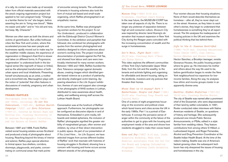of a rally, its content was made up of excerpts taken from official materials associated with the area's ongoing regeneration project but applied to her own pregnant body: "Change is a familiar theme for me" she began, before asserting the aim to "bring new blood", "Make me easier and safer" and to "mix old and new, but keep. My. Character".

Women are often seen as both the drivers and victims of gentrification. But unlike hothouse cities like New York and London, where this accelerated process has seen people and businesses rapidly moved out to make way for the wealthier middle classes, the experience of regeneration in Glasgow's East End is slower and takes on different forms. In *Progressive,* 'regeneration' is understood both in the biological sense (the regrowth of tissue or limbs), and as the attempted transformation of both urban space and local inhabitants. Presenting herself simultaneously as an artist, a mother and a brownfield site, Macnaughton plays with the notion of 'potential' that often features in discussions of creativity, pregnancy and urban development.

# **FRANKI RAFFLES**

Photographs from the late 1980s and 1990s, including: *To Let You Understand…* (1987–88), *Lothian Health Campaign* (1993) and *Zero Tolerance* (1991-2). Curated by Rachel Boyd and Weitian Liu. Courtesy University of St Andrews Photographic Collection, and the Estate of Franki Raffles

Between 1987 and 1988, Franki Raffles visited social housing estates across Scotland and produced a body of photographs about housing. Reaching beyond the binary of interior and exterior, Raffles pays special attention to liminal space: bus shelters, corridors, doorways, playgrounds, and parks, concentrating on communal areas that mark points

of encounter among tenants. The unification of tenants in housing schemes also took the form of mutual aid-based and small-scale organising, which Raffles photographed in an empathetic manner.

At the same time, Raffles was photographing women workers for the project *To Let You Understand...* produced in collaboration with the Edinburgh District Council Women's Committee. In the exhibition and pamphlet that followed, she combined her photographs with quotes from the women photographed and statistics designed to inform audiences about women's working lives. The project included documentation of protests against the Poll Tax, and showed how labour and care were inextricably intertwined for many women workers. Between 1992 and 1993, Raffles founded the Zero Tolerance campaign against domestic abuse, creating images which identified gender-based violence as a product of patriarchy, and directly challenged victim-blaming. Appearing elsewhere in the *Life Support* exhibition, themes of care and support also converge in her photographs of NHS workers in Lothian, distributed to raise awareness about health, safety, and wellbeing among staff across the Lothian Health Board.

Conversation was at the forefront of Raffles' approach. Furthermore, her photographs can be configured as discursive objects in and of themselves. Embedded in print media, billboards and related ephemera, the inclusion of Raffles' photographs signified the greater visibility of marginalised groups, often women and children, by virtue of their direct intervention in public space. As part of our presentation of *If You Lived Here…* for *Life Support,* we have selected images from across different bodies of Raffles' work that resonate with histories of housing struggles in Scotland, showing how a concern with housing and home occurs across different strands of her photography.

# *Museum City* (1989) 8:06 min Slideshow. Courtesy Janet Koenig

In the near future, the MUSEUM-CORP has taken over all aspects of city life. There is no longer any pretense of separation between high art and consumer culture. *Museum City*  was inspired by director Janet Koenig's observation that museum expansion in New York City during the Reagan years coincided with the increasing concentration of wealth and the surge in homelessness.

# *Don't Move, Fight Back* (1985) 29:37 min. Courtesy Matt O'Neal and Elena Garcia

This video explores the different communities of New York City's fashionable Upper West Side, from the rich and the wealthy, to the tenants and activists fighting and organising for affordable and decent housing, taking on the landlords, investors and city policies that threaten their homes.

# *Whose Town is it Anyway? Part 1 Easterhouse: People and Power* (1984) 30:00 min. Courtesy Tony Freeth and Concord Media

One of a series of eight programmes focussing on the economic and political crises which faced towns and cities across the UK in the early 1980s. Part 1 is a portrait of Easterhouse. It conveys the pervasive sense of anger within the community at the failure of the authorities to get to grips with the housing and employment needs of the area and shows how residents struggled to make their voices heard.

*Home and Dry* (1987) 8.00 min. Leeds Animation Workshop. Made with financial assistance from the GLC for the Board and Lodging Information Programme. Courtesy Leeds Animation Workshop

Four women discuss their housing situations. None of them would describe themselves as homeless – after all, they've never slept out on the street. However, as they listen to each other's stories, they begin to understand that homelessness is something they've all experienced. The film analyses the inadequacies of housing policies in the UK and examines the political thinking that lies behind them.

# *Life in the G: Gowanus Gentrified* (1988) 14:31 min. Courtesy Educational Video Center (EVC), Joan Jubela, Hector Sánchez and Steven Goodman

Hector Sánchez, a Brooklyn teenager, revisits Gowanus Houses, the public housing project where he grew up. He interviews his mother and others about the way life used to be, before gentrification began to render the New York neighbourhood too expensive for lowincome families. Along the way, he analyses how ethnic and income groups cluster in an apparently diverse area.

# *Seattle: Hidden Histories* (1991–95) 13:00 min. Courtesy Martha Rosler

The city of Seattle was named after a prominent chief of the Duwamish, who were dispossessed of their land by settler-colonialists. In 1991, Rosler conducted video interviews with Native American residents of Seattle, on questions of history and heritage. She subsequently produced one-minute Public Service Announcements, or PSAs, edited in a style familiar from wedding videos. They feature contributions from among others Vi Hilbert, a Lushootseed linguist, and Roger Fernandes, Alcohol and Drug Prevention Coordinator at the Seattle Indian Health Board. At the time of the video's making, Seattle was one of America's fastest-growing cities: the subsequent tech boom has only sharpened the issues of housing and homelessness in the city.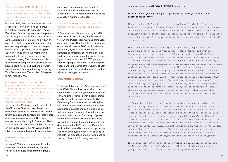# *The House that Jill Built* (1998) 14:21 min. Produced by Magda Ang, Karen Dickson and Helen Archer with Video Information Project. Courtesy

#### Glasgow Women's Library

Made in 1998, the film documents the story of Take Root, a women's self-build group in nineties Glasgow. Here, members Adele Patrick and Sue John speak about the process and challenges faced in the project, as well as the anticipated relief on moving in day. The story after the film was made was a complex one involving misogynistic press coverage, withdrawal of support for self-building by Scottish Homes and group membership waning due to the urgency of needing adequate housing. The houses were built but with major compromises, chiefly that the houses could not be self built and by which time Adele and Sue were the only remaining Take Root members. The archive of the project is now held at GWL.

# *Chinatown Tenant Stories: The Comforts of Home* (2015) 6:09 min A project of the Asian American Oral History Collective, in collaboration

# with Chinatown Tenants Union of CAAAV Organizing Asian Communities. Courtesy ManSee Kong

Ten years after Mr. Wong sought the help of the Chinatown Tenants Union, he recounts the number of times he and his fellow tenants fought evictions and advocated for their rights. After being evicted from their SRO singleroom occupancy building in Chinatown, New York City and moved to another SRO far away on the Upper West Side, Mr. Wong and his fellow residents are finally able to return home.

# *Minutes* (2019) 12:30 min. Courtesy Winnie Herbstein

*Minutes* (2019) draws on material from the archive of Take Root in the GWL. Working closely with minutes taken from the group's meetings, moments were developed into scenarios and restaged by members of Slaghammers, a feminist welding group based at Glasgow Autonomous Space.

# *This is an Address* (2020) 18:00 min Courtesy Sasha Wortzel and Field of Vision

*This is an Address* is structured by a 1995 interview with Sylvia Rivera, the Stonewall veteran and Puerto Rican Gay and Trans Liberation and HIV/AIDS activist. To the background of the demolition of an NYC municipal waste incinerator, Sylvia discusses her home - a homeless encampment at The Piers of River Hudson. She speaks about the social cleansing of homeless and poor LGBTQ people, especially people with AIDS, as part of gentrification and in the name of the 'Quality of Life' Campaign, and her political refusal of comfort while such struggles continue.

# **COMMUNITY ROOM**

For her contribution to the *Life Support* project, artist Olivia Plender has been invited to respond to GWL's building, programmes and archival holdings. Her residency-based commission begins with her intervention into GWL's Community Room which she has reimagined and domesticated through the introduction of new lighting, carpets and soft furnishings, as well as a carefully selected 'Lavender Menace' wall and ceiling colour. The design of posters mounted on the walls and a large-scale curtain hung across the room draws from her discoveries in the GWL archives. Plender's work in the space will continue throughout the exhibition and beyond when it will be used to instigate the production of a new workbook as she describes in the following interview.

### *Conversation with* **OLIVIA PLENDER** *June 2021*

# *Tell us about your plans for Life Support; what form will your contributions take?*

There are two different parts to my project. Initially, I've been invited to transform Glasgow Women's Library's Community Room, a space on the first floor that's already used for different kinds of workshops, community group meetings and education projects. My aim is to make it a space that people feel more comfortable using and that also reflects the values of GWL.

When I've worked with other organisations and groups in the past, mainly in London, such as Crossroads Women's Centre and Sylvia's Corner, which is run by a group of housing activists called Focus E15, I realised that many of the people who use these kinds of spaces often have physical or mental health issues. These can be caused by circumstances like bad housing or overwhelming care burdens, but I also noticed the frequency of chronic health problems amongst women that are not being taken seriously by the medical establishment. I became interested in how these women's spaces and centres work to accommodate various needs and, in doing so, what kinds of social experiences they create. By approaching time differently to the norm, for example, understanding that people's circumstances may mean that they arrive late to a meeting or have to leave early, and by attention to small things like providing enough places to sit down, they ensure that different bodies – not just able bodies – can access and use their resources.

My focus in the Community Room is on making it more welcoming and accommodating. There will also be different elements in the space that relate to material that I have pulled out of the GWL archive, about women's health inequality and women's health activism. These include some brilliant, funny, angry zines produced by women's health and disability activist groups, both in the 1970s and more recently. Other components will draw from my research into the histories of the book *Our Bodies, Ourselves* which was first published in the US by the Boston Women's Health Collective in 1970. It then went on to be revised, republished and repurposed around the world, adapted to different contexts by local feminist organisations and women's health groups.

The second part of my project is a workbook which will be developed during and after the *Life Support* exhibition. I plan to work with groups in Glasgow, using the new Community Room as a kind of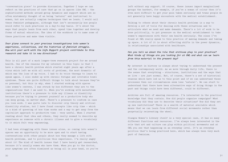'conversation piece' to provoke discussion. Together I hope we can reflect on the practices of care that go on in spaces like GWL – the sophisticated methods around group dynamics and support which are so often mistakenly thought of as being 'natural' and instinctual to women, but are actually complex techniques that we learn. I would call these feminist pedagogies, although that isn't necessarily how people would refer to such practices on a day-to-day basis. It's about the ways that people learn from each other, spend time together and develop forms of mutual education. The idea of the workbook is to name some of these practices and make them visible.

# *Your plans connect to your previous investigations into women's experience, collectives, and the histories of feminist struggle. How will your work with the Life Support project contribute to this research and take it in new directions?*

This is all part of a much longer-term research project for me around health. One of the reasons for my interest in this topic is that I have a chronic health problem which started eight years ago after a virus which left me with all sorts of problems, the most dramatic of which was the loss of my voice. I had to do voice therapy to learn to speak again. I also ended up with chronic fatigue and irritable bowel syndrome. These are quite difficult things to talk about because they're so personal, but this is why, when I started working with spaces like women's centres, I was struck by how different they are to the organisations that I am used to. When you're working with mainstream institutions there's a pressure to hide any illness or disability because you're trying to present yourself as a productive body who can keep going, no matter what. There's a pressure to conform in case you lose work. I was quite late to discover crip theory and critical disability studies, but I have found concepts like crip time – which is a kind of queering of how time works and a way to get away from the capitalist approach to productive time – very useful. When I started reading about that idea and others, they really seemed to describe my experience as someone with a chronic illness and to give a vocabulary to it which felt very empowering.

I had been struggling with these issues alone, so coming into women's spaces was an opportunity to be more open and to start having conversations with other people about how they manage a life with health problems, and to politicise this experience. I'm really angry about it! The kind of health issues that I have barely get researched, because it's usually women who have them. When you go to the doctor, your symptoms are often dismissed as being all in your head, so you're left without any support. Of course, these issues impact marginalised groups the hardest, for example, if you're a woman of colour then it's even more difficult to get your pain taken seriously and trans people do not generally have happy encounters with the medical establishment.

Talking to others about their chronic health problems is a way to develop a set of tools for dealing with these situations and to articulate what we need and make demands. There's a lot of work to be done politically, to put pressure on the medical establishment to take women's experiences with their own health seriously. The zines I've found at GWL really speak to this practice of making demands and taking up space. A lot of it is about effecting shifts in the power dynamics, in relationships associated with healthcare.

# *Can you tell us about the role that archives play in your practice? What kinds of things are you looking for at GWL and what can we learn from this material in the present day?*

My interest in history is always about trying to understand the present and the contemporary world. As we move through daily life, there is the sense that everything – structures, institutions and the ways that we live – are just normal. But, of course, there's a set of historical reasons which have led us to this point and if we can understand those processes then our circumstances seem less 'natural'. We can start to understand that there have been alternative ways of doing things in the past and things could have been different, could be different.

Archives are full of amazing resources. I'm interested in the practical knowledge that they contain. How did people organise campaigns? What vocabulary did they use to describe their situations? How did they set up new institutions? There is a wealth of material available which means that we can learn from different social movements rather than perpetually reinventing the wheel.

Glasgow Women's Library itself is a very special case, it has so many different functions and resources. I've always been interested in the role that art and culture can play within political movements and at GWL you see that happening on an everyday level. It's an everyday politics that's being practiced here, which has always been very much part of feminism.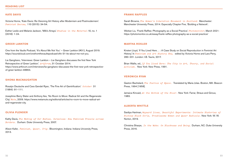# **KATE DAVIS**

Victoria Horne, 'Kate Davis: Re-Visioning Art History after Modernism and Postmodernism.' *Feminist Review,* 110 (2015): 34-54.

Esther Leslie and Melanie Jackson, 'Milk's Arrays.' *Studies in the Maternal* 10, no. 1 (2018): 1-24.

# **GREER LANKTON**

One from the Vaults Podcast, 'It's About Me Not You' – Greer Lankton (#31), August 2019. https://soundcloud.com/onefromthevaultspodcast/oftv-31-its-about-me-not-you.

Lia Gangitano, 'Interviews: Greer Lankton – Lia Gangitano discusses the first New York Retrospective of Greer Lankton.' *Artforum*, 31 October 2014. https://www.artforum.com/interviews/lia-gangitano-discusses-the-first-new-york-retrospectiveof-greer-lankton-48864.

### **SHONA MACNAUGHTON**

Rosalyn Deutsche and Cara Gendel Ryan, 'The Fine Art of Gentrification.' *October* 31 (1984): 91–111.

Josephine Berry Slater and Anthony Iles, 'No Room to Move: Radical Art and the Regenerate City.' *Mute*, 2009. https://www.metamute.org/editorial/articles/no-room-to-move-radical-artand-regenerate-city.

### **OLIVIA PLENDER**

Kathy Davis, *The Making of Our Bodies, Ourselves: How Feminism Travels across Borders.* Durham: Duke University Press, 2007.

Alison Kafer, *Feminist, Queer, Crip.* Bloomington, Indiana: Indiana University Press, 2013.

### **FRANKI RAFFLES**

Sarah Browne, *The Women's Liberation Movement in Scotland.* Manchester: Manchester University Press, 2014. Especially Chapter Five, 'Building a Network'.

Weitian Liu, 'Franki Raffles: Photography as a Social Practice.' *Photomonitor*, March 2021: https://photomonitor.co.uk/essay/franki-raffles-photography-as-a-social-practice/

### **MARTHA ROSLER**

Kirsten Lloyd, 'If You Lived Here… : A Case Study on Social Reproduction in Feminist Art History.' In *Feminism and Art History Now,* edited by Victoria Horne and Lara Perry, 283–201. London: I.B. Tauris, 2017.

Brian Wallis, ed., *If You Lived Here: The City in Art, Theory, and Social Activism.* New York: New Press, 1991.

### **VERONICA RYAN**

Gaston Bachelard, *The Poetics of Space.* Translated by Maria Jolas. Boston, MA: Beacon Press, 1994 [1958].

Jamaica Kincaid, *At the Bottom of the River.* New York: Farrar, Straus and Giroux, 1983.

# **ALBERTA WHITTLE**

Saidiya Hartman, *Wayward Lives, Beautiful Experiments: Intimate Histories of Riotous Black Girls, Troublesome Women and Queer Radicals.* New York: W. W. Norton, 2019.

Christina Sharpe, *In the Wake: On Blackness and Being.* Durham, NC: Duke University Press, 2016.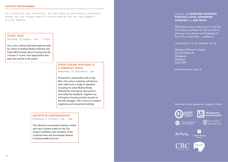### **EVENTS PROGRAMME**

*All events are free and online. For full details and booking information please see the Glasgow Women's Library website and the Life Support project website.* 

# **STORY CAFÉ**

Thursday 19 August, 1pm - 2.30pm

Join us for a Story Café that explores texts by writers including Saidiya Hartman and Cathy McCormack about housing and the concept of 'home' from approaches that span the activist to the poetic.

# **OPEN FORUM: HOUSING IS A FEMINIST ISSUE**

Wednesday 22 September, 2pm

Presented in partnership with Living Rent, this online workshop will feature short talks from a range of speakers including the artist Martha Rosler, followed by small group discussions and collective feedback. Together we will explore housing activism as part of feminist struggle, with a focus on creative organising and movement-building.

# **ARTISTS IN CONVERSATION**

Wednesday 6 October, 2pm – 4pm

This informal conversation between artists who have created works for the *Life Support* exhibition and members of the curatorial team will encompass themes including health and care.

# *Curated by* **CAROLINE GAUSDEN, KIRSTEN LLOYD, CATHERINE SPENCER** *and* **NAT RAHA**

What does home mean to you? Visit the *Life Support* website to find out how to add your own photos and drawings to the *If You Lived Here…* exhibition.

#### **lifesupport.wp.st-andrews.ac.uk**

**Glasgow Women's Library** 23 Landressy St **Bridgeton** Glasgow G40 1BP

**womenslibrary.org.uk**

# **Realised with generous support from:**



**UK Research** and Innovation



**COP** University of



Garfield Weston